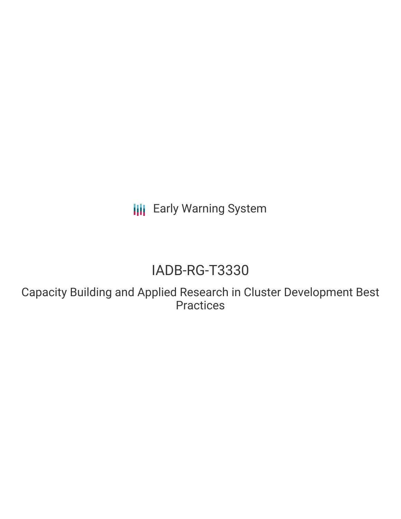**III** Early Warning System

# IADB-RG-T3330

Capacity Building and Applied Research in Cluster Development Best **Practices**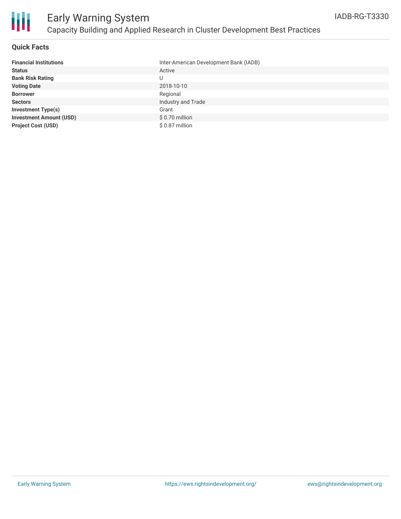

#### **Quick Facts**

| <b>Financial Institutions</b>  | Inter-American Development Bank (IADB) |
|--------------------------------|----------------------------------------|
| <b>Status</b>                  | Active                                 |
| <b>Bank Risk Rating</b>        | U                                      |
| <b>Voting Date</b>             | 2018-10-10                             |
| <b>Borrower</b>                | Regional                               |
| <b>Sectors</b>                 | Industry and Trade                     |
| <b>Investment Type(s)</b>      | Grant                                  |
| <b>Investment Amount (USD)</b> | \$0.70 million                         |
| <b>Project Cost (USD)</b>      | \$ 0.87 million                        |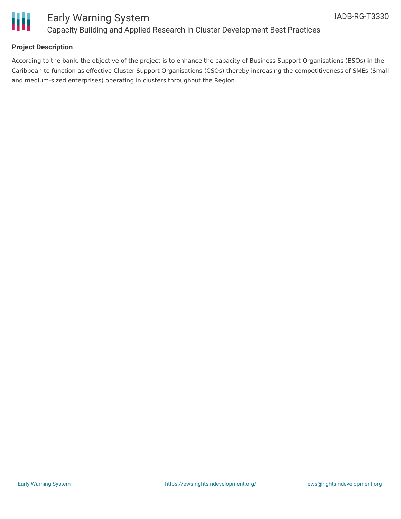

### Early Warning System Capacity Building and Applied Research in Cluster Development Best Practices

#### **Project Description**

According to the bank, the objective of the project is to enhance the capacity of Business Support Organisations (BSOs) in the Caribbean to function as effective Cluster Support Organisations (CSOs) thereby increasing the competitiveness of SMEs (Small and medium-sized enterprises) operating in clusters throughout the Region.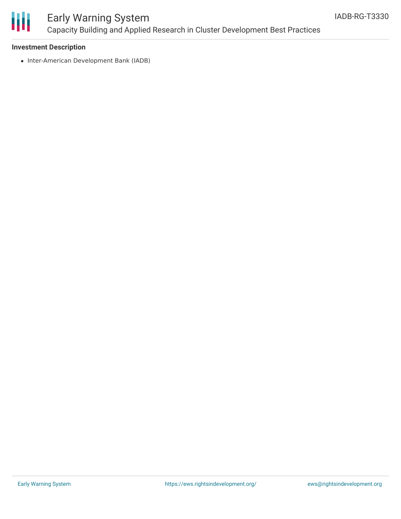

## Early Warning System Capacity Building and Applied Research in Cluster Development Best Practices

#### **Investment Description**

• Inter-American Development Bank (IADB)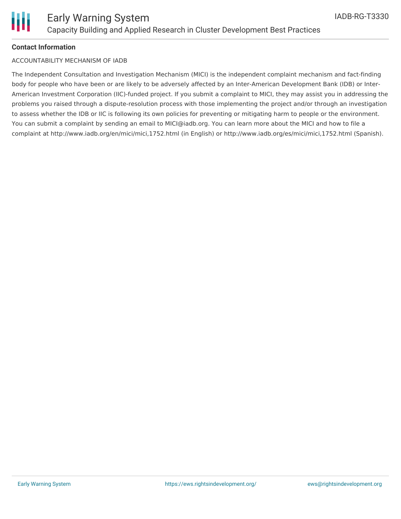

#### **Contact Information**

#### ACCOUNTABILITY MECHANISM OF IADB

The Independent Consultation and Investigation Mechanism (MICI) is the independent complaint mechanism and fact-finding body for people who have been or are likely to be adversely affected by an Inter-American Development Bank (IDB) or Inter-American Investment Corporation (IIC)-funded project. If you submit a complaint to MICI, they may assist you in addressing the problems you raised through a dispute-resolution process with those implementing the project and/or through an investigation to assess whether the IDB or IIC is following its own policies for preventing or mitigating harm to people or the environment. You can submit a complaint by sending an email to MICI@iadb.org. You can learn more about the MICI and how to file a complaint at http://www.iadb.org/en/mici/mici,1752.html (in English) or http://www.iadb.org/es/mici/mici,1752.html (Spanish).